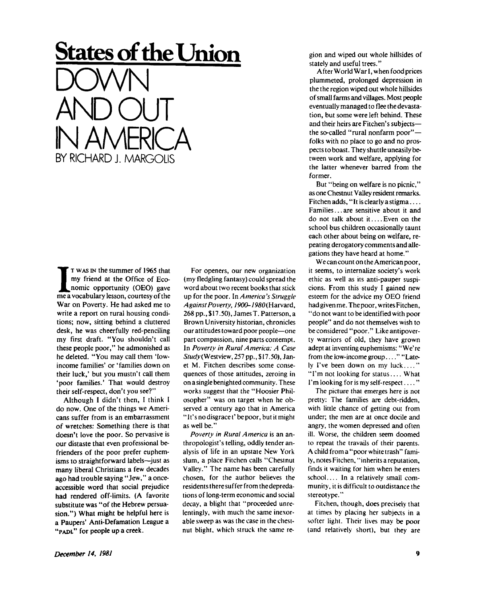## **States of the Union DOWN AND OUT IN AMERICA**  BY RICHARD J. MARGOLIS

**I** T wAS IN the summer of 1965 that<br>my friend at the Office of Eco-<br>nomic opportunity (OEO) gave<br>me a vocabulary lesson, courtesy of the **T WAS IN** the summer of 1965 that my friend at the Office of Economic opportunity (OEO) gave War on Poverty. He had asked me to write a report on rural housing conditions; now, sitting behind a cluttered desk, he was cheerfully red-penciling my first draft. "You shouldn't call these people poor," he admonished as he deleted. "You may call them 'lowincome families' or 'families down on their luck,' but you mustn't call them 'poor families.' That would destroy their self-respect, don't you see?"

Although I didn't then, I think I do now. One of the things we Americans suffer from is an embarrassment of wretches: Something there is that doesn't love the poor. So pervasive is our distaste that even professional befrienders of the poor prefer euphemisms to straightforward labels—just as many liberal Christians a few decades ago had trouble saying "Jew, " a onceaccessible word that social prejudice had rendered off-limits. (A favorite substitute was "of the Hebrew persuasion.") What might be helpful here is a Paupers' Anti-Defamation League a **"PADL**" for people up a creek.

For openers, our new organization (my fledgling fantasy) could spread the word about two recent books that stick up for the poor. *In America's Struggle Against Poverty,* /9O0-79SO(Harvard, 268 pp., \$17.50), JamesT. Patterson, a Brown University historian, chronicles our attitudes toward poor people—one part compassion, nine parts contempt. In *Poverty in Rural America: A Case Study(VJestview,* 257 pp., \$ 17.50), Janet M. Fitchen describes some consequences of those attitudes, zeroing in on a single benighted community. These works suggest that the "Hoosier Philosopher" was on target when he observed a century ago that in America " It's no disgrace t' be poor, but it might as well be."

*Poverty in Rural America* is an anthropologist's telling, oddly tender analysis of life in an upstate New York slum, a place Fitchen calls "Chestnut Valley." The name has been carefully chosen, for the author believes the residents there suffer from thedepredations of long-term economic and social decay, a blight that "proceeded unrelentingly, with much the same inexorable sweep as was the case in the chestnut blight, which struck ihe same region and wiped out whole hillsides of stately and useful trees."

After World War I, when food prices plummeted, prolonged depression in the the region wiped out whole hillsides of small farms and villages. Most people eventually managed to flee the devastation, but some were left behind. These and their heirs are Fitchen's subjects the so-called "rural nonfarm poor" folks with no place to go and no prospects to boast. They shuttle uneasily between work and welfare, applying for the latter whenever barred from the former.

But "being on welfare is no picnic," as one Chestnut Valley resident remarks. Fitchen adds, "It is clearly a stigma.... Families... are sensitive about it and do not talk about it .... Even on the school bus children occasionally taunt each other about being on welfare, repeating derogatory comments and allegations they have heard at home."

We can count on the American poor, it seems, to internalize society's work ethic as well as its anti-pauper suspicions. From this study I gained new esteem for the advice my OEO friend had given me. The poor, writes Fitchen, "do not want to be identified with poor people" and do not themselves wish to be considered "poor." Like antipoverty warriors of old, they have grown adept at inventing euphemisms: "We're from the low-income group . . . . " "Lately I've been down on my luck...." "I'm not looking for status.... What I'm looking for is my self-respect  $\dots$ ."

The picture that emerges here is not pretty: The families are debt-ridden, with little chance of getting out from under; the men are at once docile and angry, the women depressed and often ill. Worse, the children seem doomed to repeat the travails of their parents. A child from a "poor white trash" family, notes Fitchen, "inherits a reputation, finds it waiting for him when he enters school.... In a relatively small community, it is difficult to outdistance the stereotype."

Fitchen, though, does precisely that at times by placing her subjects in a softer light. Their lives may be poor (and relatively short), but they are